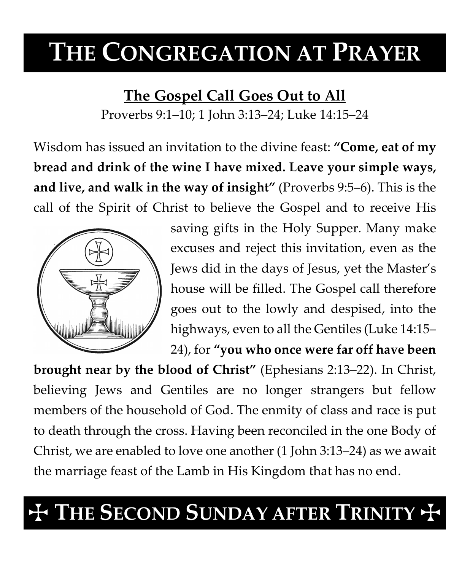# **THE CONGREGATION AT PRAYER**

**The Gospel Call Goes Out to All**

Proverbs 9:1–10; 1 John 3:13–24; Luke 14:15–24

Wisdom has issued an invitation to the divine feast: **"Come, eat of my bread and drink of the wine I have mixed. Leave your simple ways, and live, and walk in the way of insight"** (Proverbs 9:5–6). This is the call of the Spirit of Christ to believe the Gospel and to receive His



saving gifts in the Holy Supper. Many make excuses and reject this invitation, even as the Jews did in the days of Jesus, yet the Master's house will be filled. The Gospel call therefore goes out to the lowly and despised, into the highways, even to all the Gentiles (Luke 14:15–

24), for **"you who once were far off have been** 

**brought near by the blood of Christ"** (Ephesians 2:13–22). In Christ, believing Jews and Gentiles are no longer strangers but fellow members of the household of God. The enmity of class and race is put to death through the cross. Having been reconciled in the one Body of Christ, we are enabled to love one another (1 John 3:13–24) as we await the marriage feast of the Lamb in His Kingdom that has no end.

## $\dagger$  The Second Sunday after Trinity  $\dagger$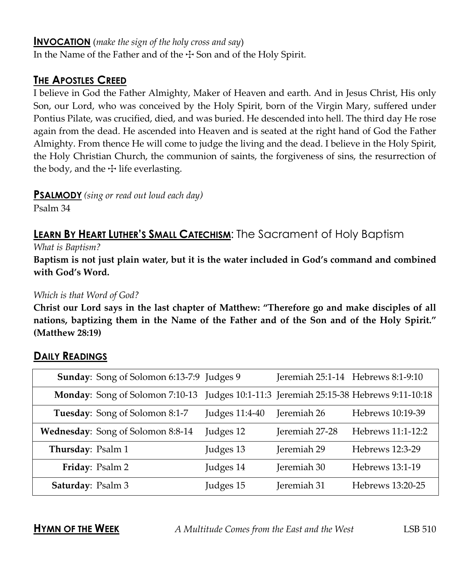#### **INVOCATION** (*make the sign of the holy cross and say*)

In the Name of the Father and of the  $\pm$  Son and of the Holy Spirit.

#### **THE APOSTLES CREED**

I believe in God the Father Almighty, Maker of Heaven and earth. And in Jesus Christ, His only Son, our Lord, who was conceived by the Holy Spirit, born of the Virgin Mary, suffered under Pontius Pilate, was crucified, died, and was buried. He descended into hell. The third day He rose again from the dead. He ascended into Heaven and is seated at the right hand of God the Father Almighty. From thence He will come to judge the living and the dead. I believe in the Holy Spirit, the Holy Christian Church, the communion of saints, the forgiveness of sins, the resurrection of the body, and the  $\pm$  life everlasting.

**PSALMODY** *(sing or read out loud each day)*

Psalm 34

### **LEARN BY HEART LUTHER'S SMALL CATECHISM:** The Sacrament of Holy Baptism

*What is Baptism?*

**Baptism is not just plain water, but it is the water included in God's command and combined with God's Word.**

#### *Which is that Word of God?*

**Christ our Lord says in the last chapter of Matthew: "Therefore go and make disciples of all nations, baptizing them in the Name of the Father and of the Son and of the Holy Spirit." (Matthew 28:19)**

#### **DAILY READINGS**

| Sunday: Song of Solomon 6:13-7:9 Judges 9 |                | Jeremiah 25:1-14 Hebrews 8:1-9:10 |                                                       |
|-------------------------------------------|----------------|-----------------------------------|-------------------------------------------------------|
| <b>Monday:</b> Song of Solomon 7:10-13    |                |                                   | Judges 10:1-11:3 Jeremiah 25:15-38 Hebrews 9:11-10:18 |
| Tuesday: Song of Solomon 8:1-7            | Judges 11:4-40 | Jeremiah 26                       | Hebrews 10:19-39                                      |
| Wednesday: Song of Solomon 8:8-14         | Judges 12      | Jeremiah 27-28                    | Hebrews 11:1-12:2                                     |
| Thursday: Psalm 1                         | Judges 13      | Jeremiah 29                       | Hebrews 12:3-29                                       |
| Friday: Psalm 2                           | Judges 14      | Jeremiah 30                       | Hebrews 13:1-19                                       |
| Saturday: Psalm 3                         | Judges 15      | Jeremiah 31                       | Hebrews 13:20-25                                      |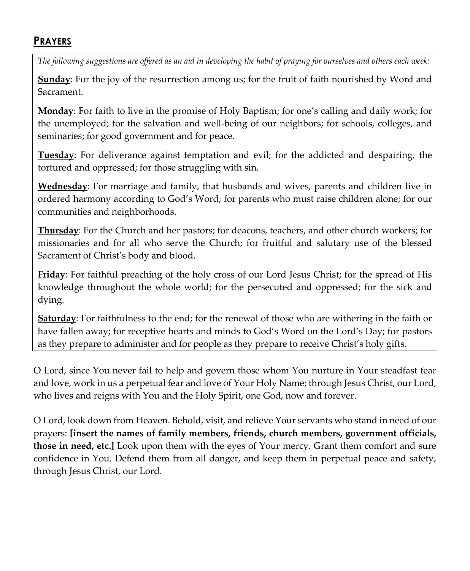#### **PRAYERS**

*The following suggestions are offered as an aid in developing the habit of praying for ourselves and others each week:*

**Sunday**: For the joy of the resurrection among us; for the fruit of faith nourished by Word and Sacrament.

**Monday**: For faith to live in the promise of Holy Baptism; for one's calling and daily work; for the unemployed; for the salvation and well-being of our neighbors; for schools, colleges, and seminaries; for good government and for peace.

**Tuesday**: For deliverance against temptation and evil; for the addicted and despairing, the tortured and oppressed; for those struggling with sin.

**Wednesday**: For marriage and family, that husbands and wives, parents and children live in ordered harmony according to God's Word; for parents who must raise children alone; for our communities and neighborhoods.

**Thursday**: For the Church and her pastors; for deacons, teachers, and other church workers; for missionaries and for all who serve the Church; for fruitful and salutary use of the blessed Sacrament of Christ's body and blood.

**Friday**: For faithful preaching of the holy cross of our Lord Jesus Christ; for the spread of His knowledge throughout the whole world; for the persecuted and oppressed; for the sick and dying.

**Saturday**: For faithfulness to the end; for the renewal of those who are withering in the faith or have fallen away; for receptive hearts and minds to God's Word on the Lord's Day; for pastors as they prepare to administer and for people as they prepare to receive Christ's holy gifts.

O Lord, since You never fail to help and govern those whom You nurture in Your steadfast fear and love, work in us a perpetual fear and love of Your Holy Name; through Jesus Christ, our Lord, who lives and reigns with You and the Holy Spirit, one God, now and forever.

O Lord, look down from Heaven. Behold, visit, and relieve Your servants who stand in need of our prayers: **[insert the names of family members, friends, church members, government officials, those in need, etc.]** Look upon them with the eyes of Your mercy. Grant them comfort and sure confidence in You. Defend them from all danger, and keep them in perpetual peace and safety, through Jesus Christ, our Lord.